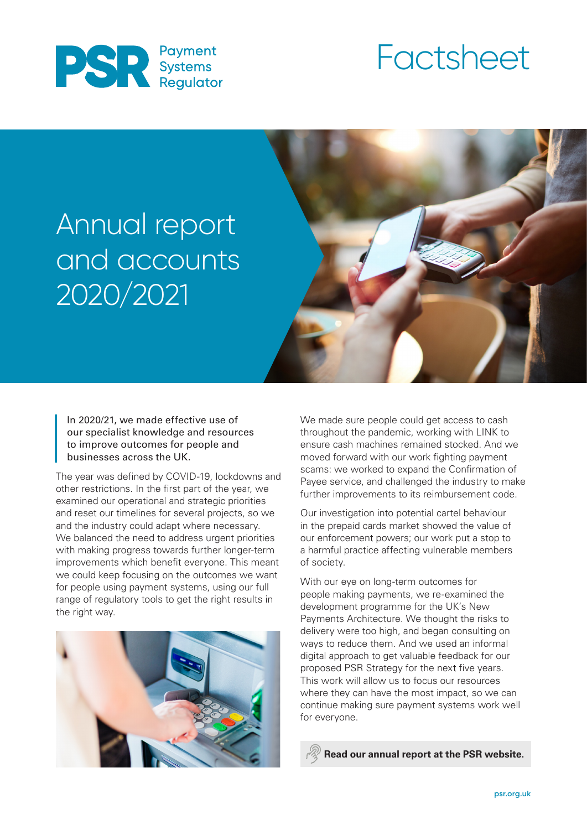

# Factsheet

# Annual report and accounts 2020/2021



In 2020/21, we made effective use of our specialist knowledge and resources to improve outcomes for people and businesses across the UK.

The year was defined by COVID-19, lockdowns and other restrictions. In the first part of the year, we examined our operational and strategic priorities and reset our timelines for several projects, so we and the industry could adapt where necessary. We balanced the need to address urgent priorities with making progress towards further longer-term improvements which benefit everyone. This meant we could keep focusing on the outcomes we want for people using payment systems, using our full range of regulatory tools to get the right results in the right way.



We made sure people could get access to cash throughout the pandemic, working with LINK to ensure cash machines remained stocked. And we moved forward with our work fighting payment scams: we worked to expand the Confirmation of Payee service, and challenged the industry to make further improvements to its reimbursement code.

Our investigation into potential cartel behaviour in the prepaid cards market showed the value of our enforcement powers; our work put a stop to a harmful practice affecting vulnerable members of society.

With our eye on long-term outcomes for people making payments, we re-examined the development programme for the UK's New Payments Architecture. We thought the risks to delivery were too high, and began consulting on ways to reduce them. And we used an informal digital approach to get valuable feedback for our proposed PSR Strategy for the next five years. This work will allow us to focus our resources where they can have the most impact, so we can continue making sure payment systems work well for everyone.

**[Read our annual report at the PSR website.](https://www.psr.org.uk/publications/annual-plans-reports/payment-systems-regulator-annual-report-and-accounts-2020-21/)**